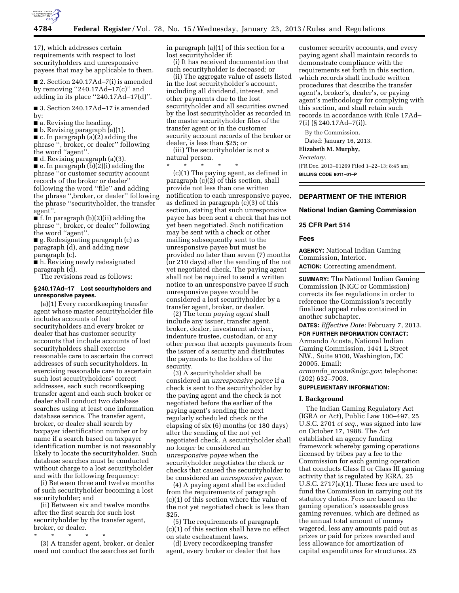

17), which addresses certain requirements with respect to lost securityholders and unresponsive payees that may be applicable to them.

■ 2. Section 240.17Ad-7(i) is amended by removing  $"240.17\text{Ad}-17\text{(c)}"$  and adding in its place ''240.17Ad–17(d)''.

■ 3. Section 240.17Ad-17 is amended by:

■ a. Revising the heading.

■ b. Revising paragraph (a)(1).

 $\blacksquare$  c. In paragraph (a)(2) adding the phrase '', broker, or dealer'' following the word ''agent''.

■ d. Revising paragraph (a)(3).

■ e. In paragraph (b)(2)(i) adding the phrase ''or customer security account records of the broker or dealer'' following the word ''file'' and adding the phrase '',broker, or dealer'' following the phrase ''securityholder, the transfer agent''.

■ f. In paragraph (b)(2)(ii) adding the phrase '', broker, or dealer'' following the word ''agent''.

■ g. Redesignating paragraph (c) as paragraph (d), and adding new paragraph (c).

■ h. Revising newly redesignated paragraph (d).

The revisions read as follows:

# **§ 240.17Ad–17 Lost securityholders and unresponsive payees.**

(a)(1) Every recordkeeping transfer agent whose master securityholder file includes accounts of lost securityholders and every broker or dealer that has customer security accounts that include accounts of lost securityholders shall exercise reasonable care to ascertain the correct addresses of such securityholders. In exercising reasonable care to ascertain such lost securityholders' correct addresses, each such recordkeeping transfer agent and each such broker or dealer shall conduct two database searches using at least one information database service. The transfer agent, broker, or dealer shall search by taxpayer identification number or by name if a search based on taxpayer identification number is not reasonably likely to locate the securityholder. Such database searches must be conducted without charge to a lost securityholder and with the following frequency:

(i) Between three and twelve months of such securityholder becoming a lost securityholder; and

(ii) Between six and twelve months after the first search for such lost securityholder by the transfer agent, broker, or dealer.

\* \* \* \* \*

(3) A transfer agent, broker, or dealer need not conduct the searches set forth

in paragraph (a)(1) of this section for a lost securityholder if:

(i) It has received documentation that such securityholder is deceased; or

(ii) The aggregate value of assets listed in the lost securityholder's account, including all dividend, interest, and other payments due to the lost securityholder and all securities owned by the lost securityholder as recorded in the master securityholder files of the transfer agent or in the customer security account records of the broker or dealer, is less than \$25; or

(iii) The securityholder is not a natural person.

\* \* \* \* \*

(c)(1) The paying agent, as defined in paragraph (c)(2) of this section, shall provide not less than one written notification to each unresponsive payee, as defined in paragraph (c)(3) of this section, stating that such unresponsive payee has been sent a check that has not yet been negotiated. Such notification may be sent with a check or other mailing subsequently sent to the unresponsive payee but must be provided no later than seven (7) months (or 210 days) after the sending of the not yet negotiated check. The paying agent shall not be required to send a written notice to an unresponsive payee if such unresponsive payee would be considered a lost securityholder by a transfer agent, broker, or dealer.

(2) The term *paying agent* shall include any issuer, transfer agent, broker, dealer, investment adviser, indenture trustee, custodian, or any other person that accepts payments from the issuer of a security and distributes the payments to the holders of the security.

(3) A securityholder shall be considered an *unresponsive payee* if a check is sent to the securityholder by the paying agent and the check is not negotiated before the earlier of the paying agent's sending the next regularly scheduled check or the elapsing of six (6) months (or 180 days) after the sending of the not yet negotiated check. A securityholder shall no longer be considered an *unresponsive payee* when the securityholder negotiates the check or checks that caused the securityholder to be considered an *unresponsive payee.* 

(4) A paying agent shall be excluded from the requirements of paragraph (c)(1) of this section where the value of the not yet negotiated check is less than \$25.

(5) The requirements of paragraph (c)(1) of this section shall have no effect on state escheatment laws.

(d) Every recordkeeping transfer agent, every broker or dealer that has

customer security accounts, and every paying agent shall maintain records to demonstrate compliance with the requirements set forth in this section, which records shall include written procedures that describe the transfer agent's, broker's, dealer's, or paying agent's methodology for complying with this section, and shall retain such records in accordance with Rule 17Ad– 7(i) (§ 240.17Ad–7(i)).

By the Commission.

Dated: January 16, 2013.

**Elizabeth M. Murphy,** 

*Secretary.* 

[FR Doc. 2013–01269 Filed 1–22–13; 8:45 am] **BILLING CODE 8011–01–P** 

# **DEPARTMENT OF THE INTERIOR**

### **National Indian Gaming Commission**

#### **25 CFR Part 514**

## **Fees**

**AGENCY:** National Indian Gaming Commission, Interior.

**ACTION:** Correcting amendment.

**SUMMARY:** The National Indian Gaming Commission (NIGC or Commission) corrects its fee regulations in order to reference the Commission's recently finalized appeal rules contained in another subchapter.

**DATES:** *Effective Date:* February 7, 2013.

**FOR FURTHER INFORMATION CONTACT:** 

Armando Acosta, National Indian Gaming Commission, 1441 L Street NW., Suite 9100, Washington, DC 20005. Email: *armando*\_*[acosta@nigc.gov](mailto:armando_acosta@nigc.gov)*; telephone:

(202) 632–7003.

# **SUPPLEMENTARY INFORMATION:**

### **I. Background**

The Indian Gaming Regulatory Act (IGRA or Act), Public Law 100–497, 25 U.S.C. 2701 *et seq.,* was signed into law on October 17, 1988. The Act established an agency funding framework whereby gaming operations licensed by tribes pay a fee to the Commission for each gaming operation that conducts Class II or Class III gaming activity that is regulated by IGRA. 25 U.S.C. 2717(a)(1). These fees are used to fund the Commission in carrying out its statutory duties. Fees are based on the gaming operation's assessable gross gaming revenues, which are defined as the annual total amount of money wagered, less any amounts paid out as prizes or paid for prizes awarded and less allowance for amortization of capital expenditures for structures. 25